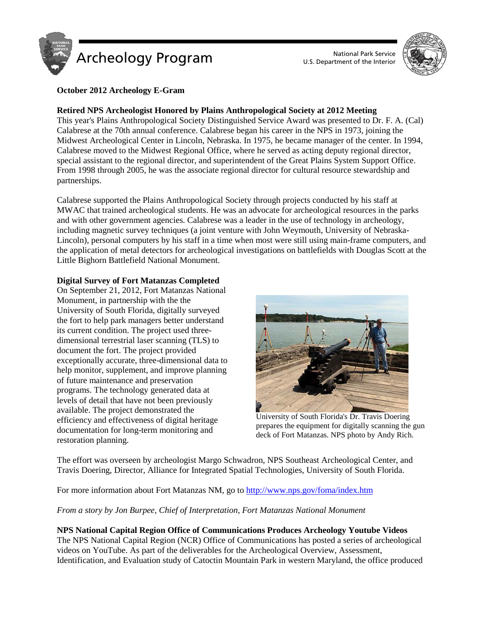

U.S. Department of the Interior



## **October 2012 Archeology E-Gram**

## **Retired NPS Archeologist Honored by Plains Anthropological Society at 2012 Meeting**

This year's Plains Anthropological Society Distinguished Service Award was presented to Dr. F. A. (Cal) Calabrese at the 70th annual conference. Calabrese began his career in the NPS in 1973, joining the Midwest Archeological Center in Lincoln, Nebraska. In 1975, he became manager of the center. In 1994, Calabrese moved to the Midwest Regional Office, where he served as acting deputy regional director, special assistant to the regional director, and superintendent of the Great Plains System Support Office. From 1998 through 2005, he was the associate regional director for cultural resource stewardship and partnerships.

Calabrese supported the Plains Anthropological Society through projects conducted by his staff at MWAC that trained archeological students. He was an advocate for archeological resources in the parks and with other government agencies. Calabrese was a leader in the use of technology in archeology, including magnetic survey techniques (a joint venture with John Weymouth, University of Nebraska-Lincoln), personal computers by his staff in a time when most were still using main-frame computers, and the application of metal detectors for archeological investigations on battlefields with Douglas Scott at the Little Bighorn Battlefield National Monument.

## **Digital Survey of Fort Matanzas Completed**

On September 21, 2012, Fort Matanzas National Monument, in partnership with the the University of South Florida, digitally surveyed the fort to help park managers better understand its current condition. The project used threedimensional terrestrial laser scanning (TLS) to document the fort. The project provided exceptionally accurate, three-dimensional data to help monitor, supplement, and improve planning of future maintenance and preservation programs. The technology generated data at levels of detail that have not been previously available. The project demonstrated the efficiency and effectiveness of digital heritage documentation for long-term monitoring and restoration planning.



University of South Florida's Dr. Travis Doering prepares the equipment for digitally scanning the gun deck of Fort Matanzas. NPS photo by Andy Rich.

The effort was overseen by archeologist Margo Schwadron, NPS Southeast Archeological Center, and Travis Doering, Director, Alliance for Integrated Spatial Technologies, University of South Florida.

For more information about Fort Matanzas NM, go to<http://www.nps.gov/foma/index.htm>

## *From a story by Jon Burpee, Chief of Interpretation, Fort Matanzas National Monument*

## **NPS National Capital Region Office of Communications Produces Archeology Youtube Videos**

The NPS National Capital Region (NCR) Office of Communications has posted a series of archeological videos on YouTube. As part of the deliverables for the Archeological Overview, Assessment, Identification, and Evaluation study of Catoctin Mountain Park in western Maryland, the office produced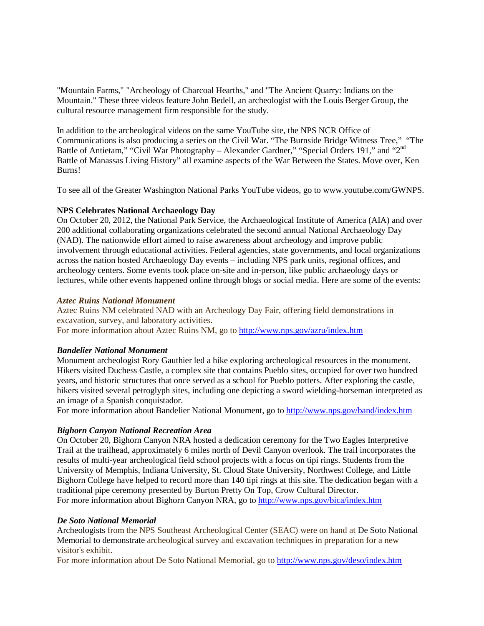"Mountain Farms," "Archeology of Charcoal Hearths," and "The Ancient Quarry: Indians on the Mountain." These three videos feature John Bedell, an archeologist with the Louis Berger Group, the cultural resource management firm responsible for the study.

In addition to the archeological videos on the same YouTube site, the NPS NCR Office of Communications is also producing a series on the Civil War. "The Burnside Bridge Witness Tree," "The Battle of Antietam," "Civil War Photography – Alexander Gardner," "Special Orders 191," and "2<sup>nd</sup> Battle of Manassas Living History" all examine aspects of the War Between the States. Move over, Ken Burns!

To see all of the Greater Washington National Parks YouTube videos, go to www.youtube.com/GWNPS.

#### **NPS Celebrates National Archaeology Day**

On October 20, 2012, the National Park Service, the Archaeological Institute of America (AIA) and over 200 additional collaborating organizations celebrated the second annual National Archaeology Day (NAD). The nationwide effort aimed to raise awareness about archeology and improve public involvement through educational activities. Federal agencies, state governments, and local organizations across the nation hosted Archaeology Day events – including NPS park units, regional offices, and archeology centers. Some events took place on-site and in-person, like public archaeology days or lectures, while other events happened online through blogs or social media. Here are some of the events:

#### *Aztec Ruins National Monument*

Aztec Ruins NM celebrated NAD with an Archeology Day Fair, offering field demonstrations in excavation, survey, and laboratory activities.

For more information about Aztec Ruins NM, go to<http://www.nps.gov/azru/index.htm>

#### *Bandelier National Monument*

Monument archeologist Rory Gauthier led a hike exploring archeological resources in the monument. Hikers visited Duchess Castle, a complex site that contains Pueblo sites, occupied for over two hundred years, and historic structures that once served as a school for Pueblo potters. After exploring the castle, hikers visited several petroglyph sites, including one depicting a sword wielding-horseman interpreted as an image of a Spanish conquistador.

For more information about Bandelier National Monument, go to<http://www.nps.gov/band/index.htm>

#### *Bighorn Canyon National Recreation Area*

On October 20, Bighorn Canyon NRA hosted a dedication ceremony for the Two Eagles Interpretive Trail at the trailhead, approximately 6 miles north of Devil Canyon overlook. The trail incorporates the results of multi-year archeological field school projects with a focus on tipi rings. Students from the University of Memphis, Indiana University, St. Cloud State University, Northwest College, and Little Bighorn College have helped to record more than 140 tipi rings at this site. The dedication began with a traditional pipe ceremony presented by Burton Pretty On Top, Crow Cultural Director. For more information about Bighorn Canyon NRA, go to<http://www.nps.gov/bica/index.htm>

#### *De Soto National Memorial*

Archeologists from the NPS Southeast Archeological Center (SEAC) were on hand at De Soto National Memorial to demonstrate archeological survey and excavation techniques in preparation for a new visitor's exhibit.

For more information about De Soto National Memorial, go to<http://www.nps.gov/deso/index.htm>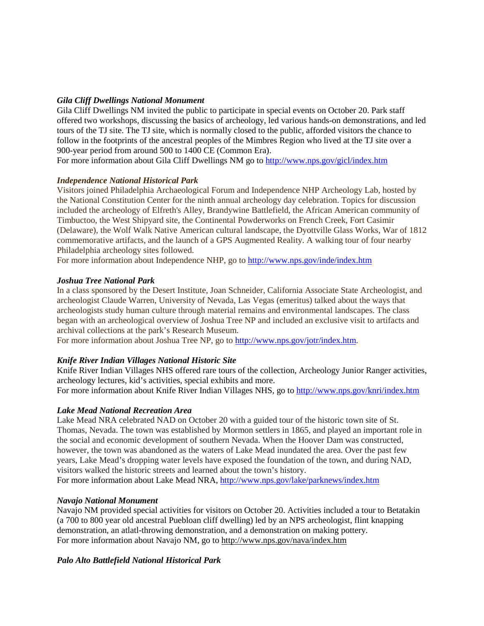# *Gila Cliff Dwellings National Monument*

Gila Cliff Dwellings NM invited the public to participate in special events on October 20. Park staff offered two workshops, discussing the basics of archeology, led various hands-on demonstrations, and led tours of the TJ site. The TJ site, which is normally closed to the public, afforded visitors the chance to follow in the footprints of the ancestral peoples of the Mimbres Region who lived at the TJ site over a 900-year period from around 500 to 1400 CE (Common Era).

For more information about Gila Cliff Dwellings NM go to<http://www.nps.gov/gicl/index.htm>

## *Independence National Historical Park*

Visitors joined Philadelphia Archaeological Forum and Independence NHP Archeology Lab, hosted by the National Constitution Center for the ninth annual archeology day celebration. Topics for discussion included the archeology of Elfreth's Alley, Brandywine Battlefield, the African American community of Timbuctoo, the West Shipyard site, the Continental Powderworks on French Creek, Fort Casimir (Delaware), the Wolf Walk Native American cultural landscape, the Dyottville Glass Works, War of 1812 commemorative artifacts, and the launch of a GPS Augmented Reality. A walking tour of four nearby Philadelphia archeology sites followed.

For more information about Independence NHP, go t[o http://www.nps.gov/inde/index.htm](http://www.nps.gov/inde/index.htm)

## *Joshua Tree National Park*

In a class sponsored by the Desert Institute, Joan Schneider, California Associate State Archeologist, and archeologist Claude Warren, University of Nevada, Las Vegas (emeritus) talked about the ways that archeologists study human culture through material remains and environmental landscapes. The class began with an archeological overview of Joshua Tree NP and included an exclusive visit to artifacts and archival collections at the park's Research Museum.

For more information about Joshua Tree NP, go to [http://www.nps.gov/jotr/index.htm.](http://www.nps.gov/jotr/index.htm)

## *Knife River Indian Villages National Historic Site*

Knife River Indian Villages NHS offered rare tours of the collection, Archeology Junior Ranger activities, archeology lectures, kid's activities, special exhibits and more.

For more information about Knife River Indian Villages NHS, go to<http://www.nps.gov/knri/index.htm>

## *Lake Mead National Recreation Area*

Lake Mead NRA celebrated NAD on October 20 with a guided tour of the historic town site of St. Thomas, Nevada. The town was established by Mormon settlers in 1865, and played an important role in the social and economic development of southern Nevada. When the Hoover Dam was constructed, however, the town was abandoned as the waters of Lake Mead inundated the area. Over the past few years, Lake Mead's dropping water levels have exposed the foundation of the town, and during NAD, visitors walked the historic streets and learned about the town's history.

For more information about Lake Mead NRA,<http://www.nps.gov/lake/parknews/index.htm>

## *Navajo National Monument*

Navajo NM provided special activities for visitors on October 20. Activities included a tour to Betatakin (a 700 to 800 year old ancestral Puebloan cliff dwelling) led by an NPS archeologist, flint knapping demonstration, an atlatl-throwing demonstration, and a demonstration on making pottery. For more information about Navajo NM, go to<http://www.nps.gov/nava/index.htm>

## *Palo Alto Battlefield National Historical Park*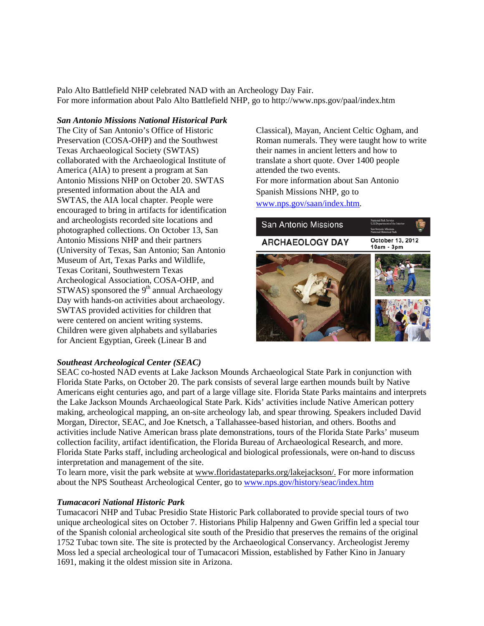Palo Alto Battlefield NHP celebrated NAD with an Archeology Day Fair. For more information about Palo Alto Battlefield NHP, go to http://www.nps.gov/paal/index.htm

*San Antonio Missions National Historical Park*

The City of San Antonio's Office of Historic Preservation (COSA-OHP) and the Southwest Texas Archaeological Society (SWTAS) collaborated with the Archaeological Institute of America (AIA) to present a program at San Antonio Missions NHP on October 20. SWTAS presented information about the AIA and SWTAS, the AIA local chapter. People were encouraged to bring in artifacts for identification and archeologists recorded site locations and photographed collections. On October 13, San Antonio Missions NHP and their partners (University of Texas, San Antonio; San Antonio Museum of Art, Texas Parks and Wildlife, Texas Coritani, Southwestern Texas Archeological Association, COSA-OHP, and  $STWAS$ ) sponsored the 9<sup>th</sup> annual Archaeology Day with hands-on activities about archaeology. SWTAS provided activities for children that were centered on ancient writing systems. Children were given alphabets and syllabaries for Ancient Egyptian, Greek (Linear B and

Classical), Mayan, Ancient Celtic Ogham, and Roman numerals. They were taught how to write their names in ancient letters and how to translate a short quote. Over 1400 people attended the two events. For more information about San Antonio Spanish Missions NHP, go to [www.nps.gov/saan/index.htm.](http://www.nps.gov/saan/index.htm)



## *Southeast Archeological Center (SEAC)*

SEAC co-hosted NAD events at Lake Jackson Mounds Archaeological State Park in conjunction with Florida State Parks, on October 20. The park consists of several large earthen mounds built by Native Americans eight centuries ago, and part of a large village site. Florida State Parks maintains and interprets the Lake Jackson Mounds Archaeological State Park. Kids' activities include Native American pottery making, archeological mapping, an on-site archeology lab, and spear throwing. Speakers included David Morgan, Director, SEAC, and Joe Knetsch, a Tallahassee-based historian, and others. Booths and activities include Native American brass plate demonstrations, tours of the Florida State Parks' museum collection facility, artifact identification, the Florida Bureau of Archaeological Research, and more. Florida State Parks staff, including archeological and biological professionals, were on-hand to discuss interpretation and management of the site.

To learn more, visit the park website at www.floridastateparks.org/lakejackson/. For more information about the NPS Southeast Archeological Center, go to www.nps.gov/history/seac/index.htm

#### *Tumacacori National Historic Park*

Tumacacori NHP and Tubac Presidio State Historic Park collaborated to provide special tours of two unique archeological sites on October 7. Historians Philip Halpenny and Gwen Griffin led a special tour of the Spanish colonial archeological site south of the Presidio that preserves the remains of the original 1752 Tubac town site. The site is protected by the Archaeological Conservancy. Archeologist Jeremy Moss led a special archeological tour of Tumacacori Mission, established by Father Kino in January 1691, making it the oldest mission site in Arizona.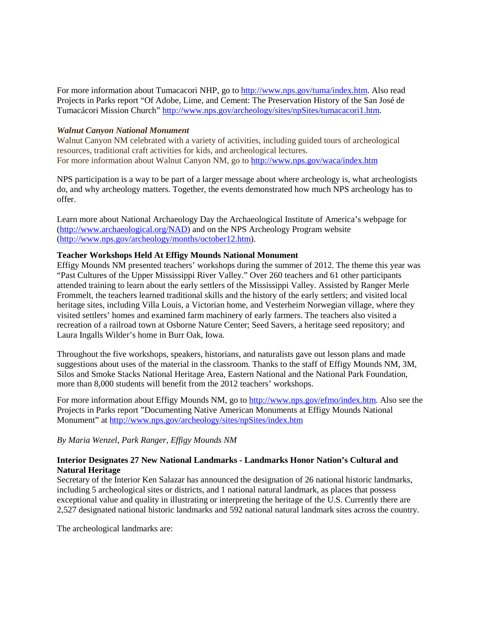For more information about Tumacacori NHP, go to [http://www.nps.gov/tuma/index.htm.](http://www.nps.gov/tuma/index.htm) Also read Projects in Parks report "Of Adobe, Lime, and Cement: The Preservation History of the San José de Tumacácori Mission Church" [http://www.nps.gov/archeology/sites/npSites/tumacacori1.htm.](http://www.nps.gov/archeology/sites/npSites/tumacacori1.htm)

#### *Walnut Canyon National Monument*

Walnut Canyon NM celebrated with a variety of activities, including guided tours of archeological resources, traditional craft activities for kids, and archeological lectures. For more information about Walnut Canyon NM, go t[o http://www.nps.gov/waca/index.htm](http://www.nps.gov/waca/index.htm)

NPS participation is a way to be part of a larger message about where archeology is, what archeologists do, and why archeology matters. Together, the events demonstrated how much NPS archeology has to offer.

Learn more about National Archaeology Day the Archaeological Institute of America's webpage for [\(http://www.archaeological.org/NAD\)](http://www.archaeological.org/NAD) and on the NPS Archeology Program website [\(http://www.nps.gov/archeology/months/october12.htm\)](http://www.nps.gov/archeology/months/october12.htm).

#### **Teacher Workshops Held At Effigy Mounds National Monument**

Effigy Mounds NM presented teachers' workshops during the summer of 2012. The theme this year was "Past Cultures of the Upper Mississippi River Valley." Over 260 teachers and 61 other participants attended training to learn about the early settlers of the Mississippi Valley. Assisted by Ranger Merle Frommelt, the teachers learned traditional skills and the history of the early settlers; and visited local heritage sites, including Villa Louis, a Victorian home, and Vesterheim Norwegian village, where they visited settlers' homes and examined farm machinery of early farmers. The teachers also visited a recreation of a railroad town at Osborne Nature Center; Seed Savers, a heritage seed repository; and Laura Ingalls Wilder's home in Burr Oak, Iowa.

Throughout the five workshops, speakers, historians, and naturalists gave out lesson plans and made suggestions about uses of the material in the classroom. Thanks to the staff of Effigy Mounds NM, 3M, Silos and Smoke Stacks National Heritage Area, Eastern National and the National Park Foundation, more than 8,000 students will benefit from the 2012 teachers' workshops.

For more information about Effigy Mounds NM, go to [http://www.nps.gov/efmo/index.htm.](http://www.nps.gov/efmo/index.htm) Also see the Projects in Parks report "Documenting Native American Monuments at Effigy Mounds National Monument" at<http://www.nps.gov/archeology/sites/npSites/index.htm>

*By Maria Wenzel, Park Ranger, Effigy Mounds NM*

## **Interior Designates 27 New National Landmarks - Landmarks Honor Nation's Cultural and Natural Heritage**

Secretary of the Interior Ken Salazar has announced the designation of 26 national historic landmarks, including 5 archeological sites or districts, and 1 national natural landmark, as places that possess exceptional value and quality in illustrating or interpreting the heritage of the U.S. Currently there are 2,527 designated national historic landmarks and 592 national natural landmark sites across the country.

The archeological landmarks are: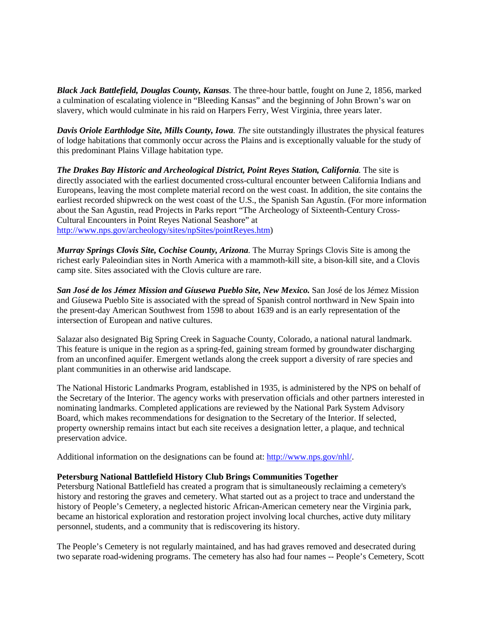*Black Jack Battlefield, Douglas County, Kansas.* The three-hour battle, fought on June 2, 1856, marked a culmination of escalating violence in "Bleeding Kansas" and the beginning of John Brown's war on slavery, which would culminate in his raid on Harpers Ferry, West Virginia, three years later.

*Davis Oriole Earthlodge Site, Mills County, Iowa. The* site outstandingly illustrates the physical features of lodge habitations that commonly occur across the Plains and is exceptionally valuable for the study of this predominant Plains Village habitation type.

*The Drakes Bay Historic and Archeological District, Point Reyes Station, California.* The site is directly associated with the earliest documented cross-cultural encounter between California Indians and Europeans, leaving the most complete material record on the west coast. In addition, the site contains the earliest recorded shipwreck on the west coast of the U.S., the Spanish San Agustín. (For more information about the San Agustin, read Projects in Parks report "The Archeology of Sixteenth-Century Cross-Cultural Encounters in Point Reyes National Seashore" at [http://www.nps.gov/archeology/sites/npSites/pointReyes.htm\)](http://www.nps.gov/archeology/sites/npSites/pointReyes.htm)

*Murray Springs Clovis Site, Cochise County, Arizona.* The Murray Springs Clovis Site is among the richest early Paleoindian sites in North America with a mammoth-kill site, a bison-kill site, and a Clovis camp site. Sites associated with the Clovis culture are rare.

*San José de los Jémez Mission and Gíusewa Pueblo Site, New Mexico.* San José de los Jémez Mission and Gíusewa Pueblo Site is associated with the spread of Spanish control northward in New Spain into the present-day American Southwest from 1598 to about 1639 and is an early representation of the intersection of European and native cultures.

Salazar also designated Big Spring Creek in Saguache County, Colorado, a national natural landmark. This feature is unique in the region as a spring-fed, gaining stream formed by groundwater discharging from an unconfined aquifer. Emergent wetlands along the creek support a diversity of rare species and plant communities in an otherwise arid landscape.

The National Historic Landmarks Program, established in 1935, is administered by the NPS on behalf of the Secretary of the Interior. The agency works with preservation officials and other partners interested in nominating landmarks. Completed applications are reviewed by the National Park System Advisory Board, which makes recommendations for designation to the Secretary of the Interior. If selected, property ownership remains intact but each site receives a designation letter, a plaque, and technical preservation advice.

Additional information on the designations can be found at: [http://www.nps.gov/nhl/.](http://www.nps.gov/nhl/)

## **Petersburg National Battlefield History Club Brings Communities Together**

Petersburg National Battlefield has created a program that is simultaneously reclaiming a cemetery's history and restoring the graves and cemetery. What started out as a project to trace and understand the history of People's Cemetery, a neglected historic African-American cemetery near the Virginia park, became an historical exploration and restoration project involving local churches, active duty military personnel, students, and a community that is rediscovering its history.

The People's Cemetery is not regularly maintained, and has had graves removed and desecrated during two separate road-widening programs. The cemetery has also had four names -- People's Cemetery, Scott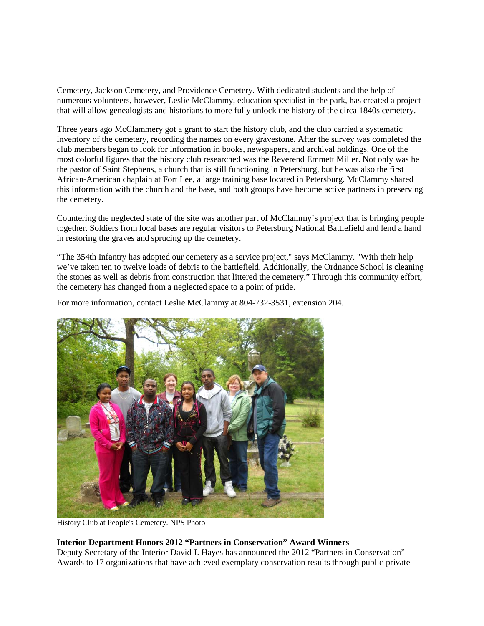Cemetery, Jackson Cemetery, and Providence Cemetery. With dedicated students and the help of numerous volunteers, however, Leslie McClammy, education specialist in the park, has created a project that will allow genealogists and historians to more fully unlock the history of the circa 1840s cemetery.

Three years ago McClammery got a grant to start the history club, and the club carried a systematic inventory of the cemetery, recording the names on every gravestone. After the survey was completed the club members began to look for information in books, newspapers, and archival holdings. One of the most colorful figures that the history club researched was the Reverend Emmett Miller. Not only was he the pastor of Saint Stephens, a church that is still functioning in Petersburg, but he was also the first African-American chaplain at Fort Lee, a large training base located in Petersburg. McClammy shared this information with the church and the base, and both groups have become active partners in preserving the cemetery.

Countering the neglected state of the site was another part of McClammy's project that is bringing people together. Soldiers from local bases are regular visitors to Petersburg National Battlefield and lend a hand in restoring the graves and sprucing up the cemetery.

"The 354th Infantry has adopted our cemetery as a service project," says McClammy. "With their help we've taken ten to twelve loads of debris to the battlefield. Additionally, the Ordnance School is cleaning the stones as well as debris from construction that littered the cemetery." Through this community effort, the cemetery has changed from a neglected space to a point of pride.

For more information, contact Leslie McClammy at 804-732-3531, extension 204.



History Club at People's Cemetery. NPS Photo

#### **Interior Department Honors 2012 "Partners in Conservation" Award Winners**

Deputy Secretary of the Interior David J. Hayes has announced the 2012 "Partners in Conservation" Awards to 17 organizations that have achieved exemplary conservation results through public-private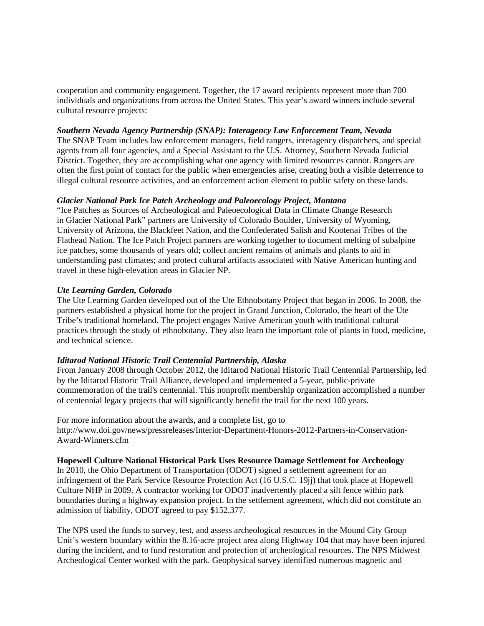cooperation and community engagement. Together, the 17 award recipients represent more than 700 individuals and organizations from across the United States. This year's award winners include several cultural resource projects:

#### *Southern Nevada Agency Partnership (SNAP): Interagency Law Enforcement Team, Nevada*

The SNAP Team includes law enforcement managers, field rangers, interagency dispatchers, and special agents from all four agencies, and a Special Assistant to the U.S. Attorney, Southern Nevada Judicial District. Together, they are accomplishing what one agency with limited resources cannot. Rangers are often the first point of contact for the public when emergencies arise, creating both a visible deterrence to illegal cultural resource activities, and an enforcement action element to public safety on these lands.

#### *Glacier National Park Ice Patch Archeology and Paleoecology Project, Montana*

"Ice Patches as Sources of Archeological and Paleoecological Data in Climate Change Research in Glacier National Park" partners are University of Colorado Boulder, University of Wyoming, University of Arizona, the Blackfeet Nation, and the Confederated Salish and Kootenai Tribes of the Flathead Nation. The Ice Patch Project partners are working together to document melting of subalpine ice patches, some thousands of years old; collect ancient remains of animals and plants to aid in understanding past climates; and protect cultural artifacts associated with Native American hunting and travel in these high-elevation areas in Glacier NP.

#### *Ute Learning Garden, Colorado*

The Ute Learning Garden developed out of the Ute Ethnobotany Project that began in 2006. In 2008, the partners established a physical home for the project in Grand Junction, Colorado, the heart of the Ute Tribe's traditional homeland. The project engages Native American youth with traditional cultural practices through the study of ethnobotany. They also learn the important role of plants in food, medicine, and technical science.

#### *Iditarod National Historic Trail Centennial Partnership, Alaska*

From January 2008 through October 2012, the Iditarod National Historic Trail Centennial Partnership**,** led by the Iditarod Historic Trail Alliance, developed and implemented a 5-year, public-private commemoration of the trail's centennial. This nonprofit membership organization accomplished a number of centennial legacy projects that will significantly benefit the trail for the next 100 years.

For more information about the awards, and a complete list, go to http://www.doi.gov/news/pressreleases/Interior-Department-Honors-2012-Partners-in-Conservation-Award-Winners.cfm

#### **Hopewell Culture National Historical Park Uses Resource Damage Settlement for Archeology**

In 2010, the Ohio Department of Transportation (ODOT) signed a settlement agreement for an infringement of the Park Service Resource Protection Act (16 U.S.C. 19jj) that took place at Hopewell Culture NHP in 2009. A contractor working for ODOT inadvertently placed a silt fence within park boundaries during a highway expansion project. In the settlement agreement, which did not constitute an admission of liability, ODOT agreed to pay \$152,377.

The NPS used the funds to survey, test, and assess archeological resources in the Mound City Group Unit's western boundary within the 8.16-acre project area along Highway 104 that may have been injured during the incident, and to fund restoration and protection of archeological resources. The NPS Midwest Archeological Center worked with the park. Geophysical survey identified numerous magnetic and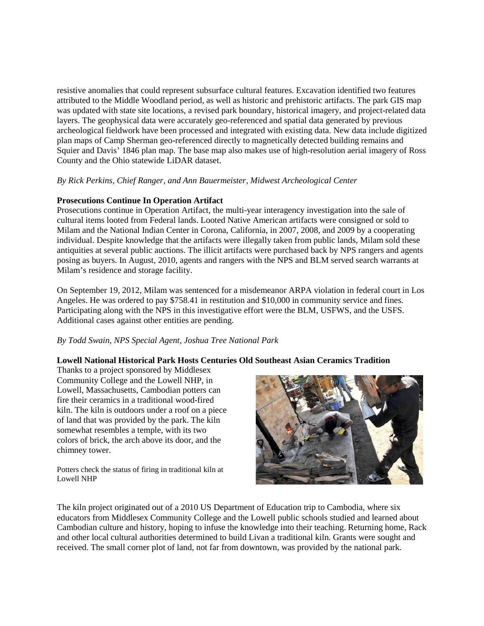resistive anomalies that could represent subsurface cultural features. Excavation identified two features attributed to the Middle Woodland period, as well as historic and prehistoric artifacts. The park GIS map was updated with state site locations, a revised park boundary, historical imagery, and project-related data layers. The geophysical data were accurately geo-referenced and spatial data generated by previous archeological fieldwork have been processed and integrated with existing data. New data include digitized plan maps of Camp Sherman geo-referenced directly to magnetically detected building remains and Squier and Davis' 1846 plan map. The base map also makes use of high-resolution aerial imagery of Ross County and the Ohio statewide LiDAR dataset.

## *By Rick Perkins, Chief Ranger, and Ann Bauermeister, Midwest Archeological Center*

## **Prosecutions Continue In Operation Artifact**

Prosecutions continue in Operation Artifact, the multi-year interagency investigation into the sale of cultural items looted from Federal lands. Looted Native American artifacts were consigned or sold to Milam and the National Indian Center in Corona, California, in 2007, 2008, and 2009 by a cooperating individual. Despite knowledge that the artifacts were illegally taken from public lands, Milam sold these antiquities at several public auctions. The illicit artifacts were purchased back by NPS rangers and agents posing as buyers. In August, 2010, agents and rangers with the NPS and BLM served search warrants at Milam's residence and storage facility.

On September 19, 2012, Milam was sentenced for a misdemeanor ARPA violation in federal court in Los Angeles. He was ordered to pay \$758.41 in restitution and \$10,000 in community service and fines. Participating along with the NPS in this investigative effort were the BLM, USFWS, and the USFS. Additional cases against other entities are pending.

## *By Todd Swain, NPS Special Agent, Joshua Tree National Park*

# **Lowell National Historical Park Hosts Centuries Old Southeast Asian Ceramics Tradition**

Thanks to a project sponsored by Middlesex Community College and the Lowell NHP, in Lowell, Massachusetts, Cambodian potters can fire their ceramics in a traditional wood-fired kiln. The kiln is outdoors under a roof on a piece of land that was provided by the park. The kiln somewhat resembles a temple, with its two colors of brick, the arch above its door, and the chimney tower.

Potters check the status of firing in traditional kiln at Lowell NHP



The kiln project originated out of a 2010 US Department of Education trip to Cambodia, where six educators from Middlesex Community College and the Lowell public schools studied and learned about Cambodian culture and history, hoping to infuse the knowledge into their teaching. Returning home, Rack and other local cultural authorities determined to build Livan a traditional kiln. Grants were sought and received. The small corner plot of land, not far from downtown, was provided by the national park.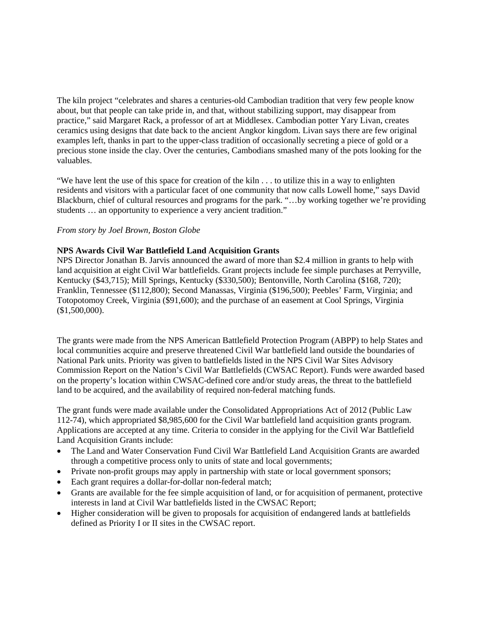The kiln project "celebrates and shares a centuries-old Cambodian tradition that very few people know about, but that people can take pride in, and that, without stabilizing support, may disappear from practice," said Margaret Rack, a professor of art at Middlesex. Cambodian potter Yary Livan, creates ceramics using designs that date back to the ancient Angkor kingdom. Livan says there are few original examples left, thanks in part to the upper-class tradition of occasionally secreting a piece of gold or a precious stone inside the clay. Over the centuries, Cambodians smashed many of the pots looking for the valuables.

"We have lent the use of this space for creation of the kiln . . . to utilize this in a way to enlighten residents and visitors with a particular facet of one community that now calls Lowell home," says David Blackburn, chief of cultural resources and programs for the park. "…by working together we're providing students … an opportunity to experience a very ancient tradition."

#### *From story by Joel Brown, Boston Globe*

#### **NPS Awards Civil War Battlefield Land Acquisition Grants**

NPS Director Jonathan B. Jarvis announced the award of more than \$2.4 million in grants to help with land acquisition at eight Civil War battlefields. Grant projects include fee simple purchases at Perryville, Kentucky (\$43,715); Mill Springs, Kentucky (\$330,500); Bentonville, North Carolina (\$168, 720); Franklin, Tennessee (\$112,800); Second Manassas, Virginia (\$196,500); Peebles' Farm, Virginia; and Totopotomoy Creek, Virginia (\$91,600); and the purchase of an easement at Cool Springs, Virginia (\$1,500,000).

The grants were made from the NPS American Battlefield Protection Program (ABPP) to help States and local communities acquire and preserve threatened Civil War battlefield land outside the boundaries of National Park units. Priority was given to battlefields listed in the NPS Civil War Sites Advisory Commission Report on the Nation's Civil War Battlefields (CWSAC Report). Funds were awarded based on the property's location within CWSAC-defined core and/or study areas, the threat to the battlefield land to be acquired, and the availability of required non-federal matching funds.

The grant funds were made available under the Consolidated Appropriations Act of 2012 (Public Law 112-74), which appropriated \$8,985,600 for the Civil War battlefield land acquisition grants program. Applications are accepted at any time. Criteria to consider in the applying for the Civil War Battlefield Land Acquisition Grants include:

- The Land and Water Conservation Fund Civil War Battlefield Land Acquisition Grants are awarded through a competitive process only to units of state and local governments;
- Private non-profit groups may apply in partnership with state or local government sponsors;
- Each grant requires a dollar-for-dollar non-federal match;
- Grants are available for the fee simple acquisition of land, or for acquisition of permanent, protective interests in land at Civil War battlefields listed in the CWSAC Report;
- Higher consideration will be given to proposals for acquisition of endangered lands at battlefields defined as Priority I or II sites in the CWSAC report.